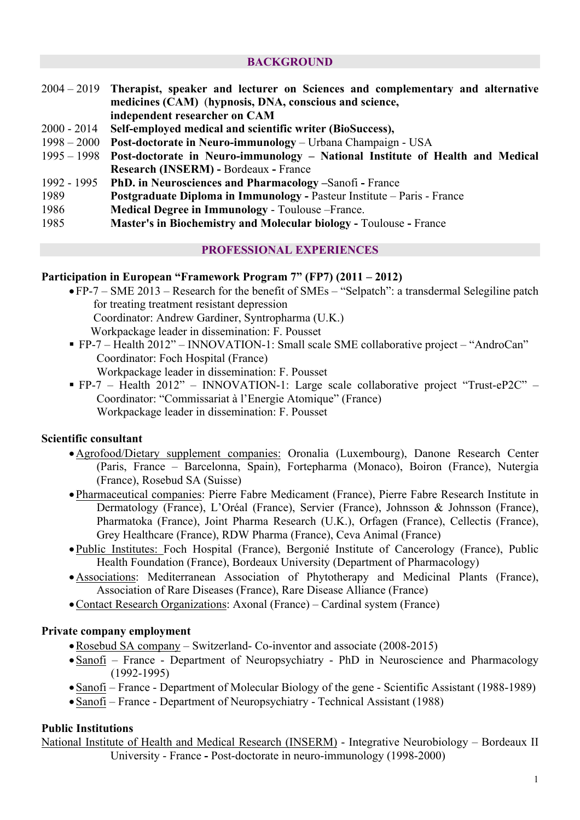### **BACKGROUND**

- 2004 2019 **Therapist, speaker and lecturer on Sciences and complementary and alternative medicines (CAM)** (**hypnosis, DNA, conscious and science, independent researcher on CAM**
- 2000 2014 **Self-employed medical and scientific writer (BioSuccess),**
- 1998 2000 **Post-doctorate in Neuro-immunology** Urbana Champaign USA
- 1995 1998 **Post-doctorate in Neuro-immunology – National Institute of Health and Medical Research (INSERM) -** Bordeaux **-** France
- 1992 1995 **PhD. in Neurosciences and Pharmacology –**Sanofi **-** France
- 1989 **Postgraduate Diploma in Immunology -** Pasteur Institute Paris France
- 1986 **Medical Degree in Immunology** Toulouse –France.
- 1985 **Master's in Biochemistry and Molecular biology -** Toulouse **-** France

### **PROFESSIONAL EXPERIENCES**

#### **Participation in European "Framework Program 7" (FP7) (2011 – 2012)**

- •FP-7 SME 2013 Research for the benefit of SMEs "Selpatch": a transdermal Selegiline patch for treating treatment resistant depression Coordinator: Andrew Gardiner, Syntropharma (U.K.) Workpackage leader in dissemination: F. Pousset
- § FP-7 Health 2012" INNOVATION-1: Small scale SME collaborative project "AndroCan" Coordinator: Foch Hospital (France) Workpackage leader in dissemination: F. Pousset
- § FP-7 Health 2012" INNOVATION-1: Large scale collaborative project "Trust-eP2C" Coordinator: "Commissariat à l'Energie Atomique" (France) Workpackage leader in dissemination: F. Pousset

## **Scientific consultant**

- •Agrofood/Dietary supplement companies: Oronalia (Luxembourg), Danone Research Center (Paris, France – Barcelonna, Spain), Fortepharma (Monaco), Boiron (France), Nutergia (France), Rosebud SA (Suisse)
- •Pharmaceutical companies: Pierre Fabre Medicament (France), Pierre Fabre Research Institute in Dermatology (France), L'Oréal (France), Servier (France), Johnsson & Johnsson (France), Pharmatoka (France), Joint Pharma Research (U.K.), Orfagen (France), Cellectis (France), Grey Healthcare (France), RDW Pharma (France), Ceva Animal (France)
- •Public Institutes: Foch Hospital (France), Bergonié Institute of Cancerology (France), Public Health Foundation (France), Bordeaux University (Department of Pharmacology)
- •Associations: Mediterranean Association of Phytotherapy and Medicinal Plants (France), Association of Rare Diseases (France), Rare Disease Alliance (France)
- •Contact Research Organizations: Axonal (France) Cardinal system (France)

#### **Private company employment**

- •Rosebud SA company Switzerland- Co-inventor and associate (2008-2015)
- Sanofi France Department of Neuropsychiatry PhD in Neuroscience and Pharmacology (1992-1995)
- •Sanofi France Department of Molecular Biology of the gene Scientific Assistant (1988-1989)
- •Sanofi France Department of Neuropsychiatry Technical Assistant (1988)

#### **Public Institutions**

National Institute of Health and Medical Research (INSERM) - Integrative Neurobiology – Bordeaux II University - France **-** Post-doctorate in neuro-immunology (1998-2000)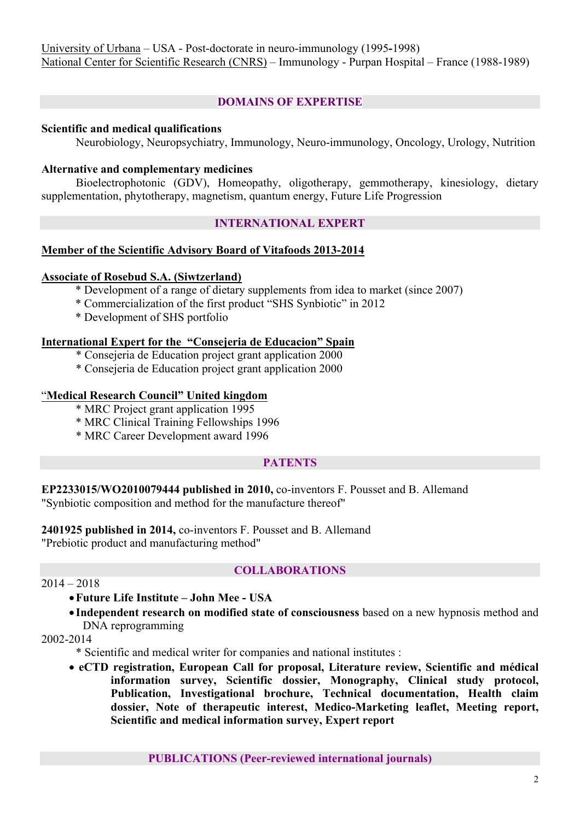# **DOMAINS OF EXPERTISE**

## **Scientific and medical qualifications**

Neurobiology, Neuropsychiatry, Immunology, Neuro-immunology, Oncology, Urology, Nutrition

### **Alternative and complementary medicines**

Bioelectrophotonic (GDV), Homeopathy, oligotherapy, gemmotherapy, kinesiology, dietary supplementation, phytotherapy, magnetism, quantum energy, Future Life Progression

## **INTERNATIONAL EXPERT**

### **Member of the Scientific Advisory Board of Vitafoods 2013-2014**

### **Associate of Rosebud S.A. (Siwtzerland)**

- \* Development of a range of dietary supplements from idea to market (since 2007)
- \* Commercialization of the first product "SHS Synbiotic" in 2012
- \* Development of SHS portfolio

#### **International Expert for the "Consejeria de Educacion" Spain**

- \* Consejeria de Education project grant application 2000
- \* Consejeria de Education project grant application 2000

### "**Medical Research Council" United kingdom**

- \* MRC Project grant application 1995
- \* MRC Clinical Training Fellowships 1996
- \* MRC Career Development award 1996

## **PATENTS**

**EP2233015/WO2010079444 published in 2010,** co-inventors F. Pousset and B. Allemand "Synbiotic composition and method for the manufacture thereof"

**2401925 published in 2014,** co-inventors F. Pousset and B. Allemand "Prebiotic product and manufacturing method"

## **COLLABORATIONS**

### $2014 - 2018$

- •**Future Life Institute – John Mee - USA**
- **Independent research on modified state of consciousness** based on a new hypnosis method and DNA reprogramming

#### 2002-2014

- \* Scientific and medical writer for companies and national institutes :
- **eCTD registration, European Call for proposal, Literature review, Scientific and médical information survey, Scientific dossier, Monography, Clinical study protocol, Publication, Investigational brochure, Technical documentation, Health claim dossier, Note of therapeutic interest, Medico-Marketing leaflet, Meeting report, Scientific and medical information survey, Expert report**